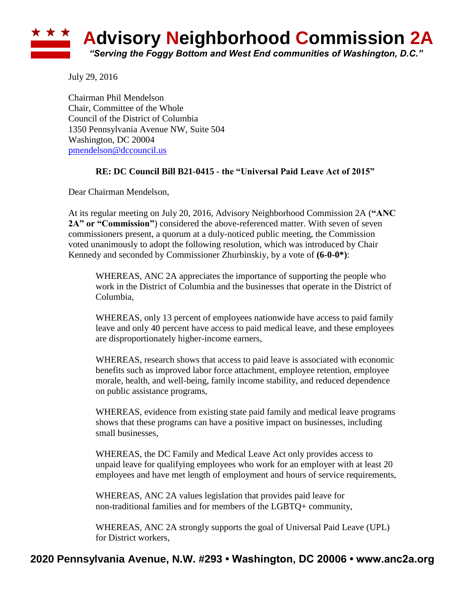

July 29, 2016

Chairman Phil Mendelson Chair, Committee of the Whole Council of the District of Columbia 1350 Pennsylvania Avenue NW, Suite 504 Washington, DC 20004 [pmendelson@dccouncil.us](mailto:pmendelson@dccouncil.us)

## **RE: DC Council Bill B21-0415 - the "Universal Paid Leave Act of 2015"**

Dear Chairman Mendelson,

At its regular meeting on July 20, 2016, Advisory Neighborhood Commission 2A (**"ANC 2A" or "Commission"**) considered the above-referenced matter. With seven of seven commissioners present, a quorum at a duly-noticed public meeting, the Commission voted unanimously to adopt the following resolution, which was introduced by Chair Kennedy and seconded by Commissioner Zhurbinskiy, by a vote of **(6-0-0\*)**:

WHEREAS, ANC 2A appreciates the importance of supporting the people who work in the District of Columbia and the businesses that operate in the District of Columbia,

WHEREAS, only 13 percent of employees nationwide have access to paid family leave and only 40 percent have access to paid medical leave, and these employees are disproportionately higher-income earners,

WHEREAS, research shows that access to paid leave is associated with economic benefits such as improved labor force attachment, employee retention, employee morale, health, and well-being, family income stability, and reduced dependence on public assistance programs,

WHEREAS, evidence from existing state paid family and medical leave programs shows that these programs can have a positive impact on businesses, including small businesses,

WHEREAS, the DC Family and Medical Leave Act only provides access to unpaid leave for qualifying employees who work for an employer with at least 20 employees and have met length of employment and hours of service requirements,

WHEREAS, ANC 2A values legislation that provides paid leave for non-traditional families and for members of the LGBTQ+ community,

WHEREAS, ANC 2A strongly supports the goal of Universal Paid Leave (UPL) for District workers,

## **2020 Pennsylvania Avenue, N.W. #293 • Washington, DC 20006 • www.anc2a.org**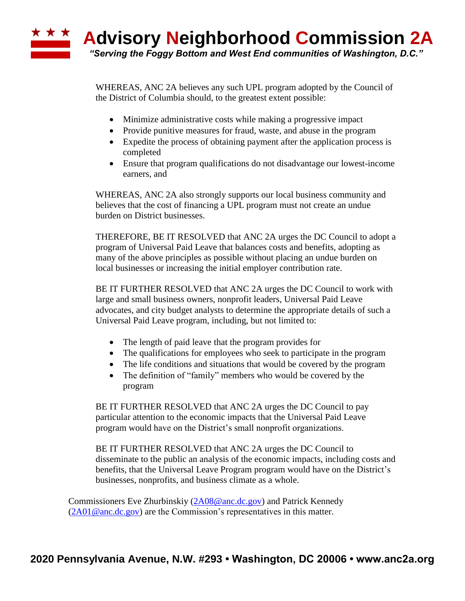WHEREAS, ANC 2A believes any such UPL program adopted by the Council of the District of Columbia should, to the greatest extent possible:

- Minimize administrative costs while making a progressive impact
- Provide punitive measures for fraud, waste, and abuse in the program
- Expedite the process of obtaining payment after the application process is completed
- Ensure that program qualifications do not disadvantage our lowest-income earners, and

WHEREAS, ANC 2A also strongly supports our local business community and believes that the cost of financing a UPL program must not create an undue burden on District businesses.

THEREFORE, BE IT RESOLVED that ANC 2A urges the DC Council to adopt a program of Universal Paid Leave that balances costs and benefits, adopting as many of the above principles as possible without placing an undue burden on local businesses or increasing the initial employer contribution rate.

BE IT FURTHER RESOLVED that ANC 2A urges the DC Council to work with large and small business owners, nonprofit leaders, Universal Paid Leave advocates, and city budget analysts to determine the appropriate details of such a Universal Paid Leave program, including, but not limited to:

- The length of paid leave that the program provides for
- The qualifications for employees who seek to participate in the program
- The life conditions and situations that would be covered by the program
- The definition of "family" members who would be covered by the program

BE IT FURTHER RESOLVED that ANC 2A urges the DC Council to pay particular attention to the economic impacts that the Universal Paid Leave program would have on the District's small nonprofit organizations.

BE IT FURTHER RESOLVED that ANC 2A urges the DC Council to disseminate to the public an analysis of the economic impacts, including costs and benefits, that the Universal Leave Program program would have on the District's businesses, nonprofits, and business climate as a whole.

Commissioners Eve Zhurbinskiy [\(2A08@anc.dc.gov\)](mailto:2A08@anc.dc.gov) and Patrick Kennedy  $(2A01@anc.dc.gov)$  are the Commission's representatives in this matter.